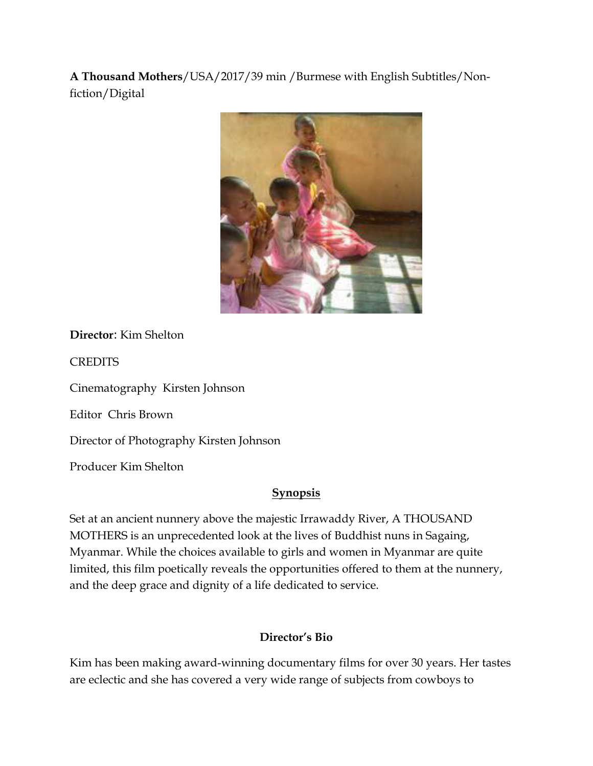**A Thousand Mothers**/USA/2017/39 min /Burmese with English Subtitles/Nonfiction/Digital



**Director**: Kim Shelton

**CREDITS** 

[Cinematography](https://www.google.com/search?sxsrf=ACYBGNSWOyKK4ijXB8XFFr6p-_dV3R2KTA:1569565086067&q=a+thousand+mothers+cinematography&stick=H4sIAAAAAAAAAOPgE-LVT9c3NExPLog3zzGq0JLJTrbST8vMyQUTVsmZeam5iSX56UWJBRmVi1gVExVKMvJLixPzUhRy80syUouKFVDVAABG0p30UwAAAA&sa=X&ved=2ahUKEwiLqaDLrfDkAhVNX30KHTdeD-AQ6BMoADAkegQIDRAU&sxsrf=ACYBGNSWOyKK4ijXB8XFFr6p-_dV3R2KTA:1569565086067) [Kirsten Johnson](https://www.google.com/search?sxsrf=ACYBGNSWOyKK4ijXB8XFFr6p-_dV3R2KTA:1569565086067&q=Kirsten+Johnson&stick=H4sIAAAAAAAAAOPgE-LVT9c3NExPLog3zzGqUOLSz9U3SCrPLrY00JLJTrbST8vMyQUTVsmZeam5iSX56UWJBRmVi1j5vTOLiktS8xS88jPyivPzAGnOH29NAAAA&sa=X&ved=2ahUKEwiLqaDLrfDkAhVNX30KHTdeD-AQmxMoATAkegQIDRAV&sxsrf=ACYBGNSWOyKK4ijXB8XFFr6p-_dV3R2KTA:1569565086067) 

[Editor](https://www.google.com/search?sxsrf=ACYBGNSWOyKK4ijXB8XFFr6p-_dV3R2KTA:1569565086067&q=a+thousand+mothers+editor&stick=H4sIAAAAAAAAAOPgE-LVT9c3NExPLog3zzGq0BLJTrbST8vMyQUTVqkpmSX5RYtYJRMVSjLyS4sT81IUcvNLMlKLihUgcgBMlgUyQwAAAA&sa=X&ved=2ahUKEwiLqaDLrfDkAhVNX30KHTdeD-AQ6BMoADAlegQIDRAY&sxsrf=ACYBGNSWOyKK4ijXB8XFFr6p-_dV3R2KTA:1569565086067) [Chris Brown](https://www.google.com/search?sxsrf=ACYBGNSWOyKK4ijXB8XFFr6p-_dV3R2KTA:1569565086067&q=Chris+Brown+Film+director&stick=H4sIAAAAAAAAAOPgE-LVT9c3NExPLog3zzGqUOLSz9U3SEm3rDLL0RLJTrbST8vMyQUTVqkpmSX5RYtYJZ0zijKLFZyK8svzFNyAMgopmUWpyUA5AO5YZp5PAAAA&sa=X&ved=2ahUKEwiLqaDLrfDkAhVNX30KHTdeD-AQmxMoATAlegQIDRAZ&sxsrf=ACYBGNSWOyKK4ijXB8XFFr6p-_dV3R2KTA:1569565086067) 

Director of Photography Kirsten Johnson

Producer Kim Shelton

## **Synopsis**

Set at an ancient nunnery above the majestic Irrawaddy River, A THOUSAND MOTHERS is an unprecedented look at the lives of Buddhist nuns in Sagaing, Myanmar. While the choices available to girls and women in Myanmar are quite limited, this film poetically reveals the opportunities offered to them at the nunnery, and the deep grace and dignity of a life dedicated to service.

## **Director's Bio**

Kim has been making award-winning documentary films for over 30 years. Her tastes are eclectic and she has covered a very wide range of subjects from cowboys to